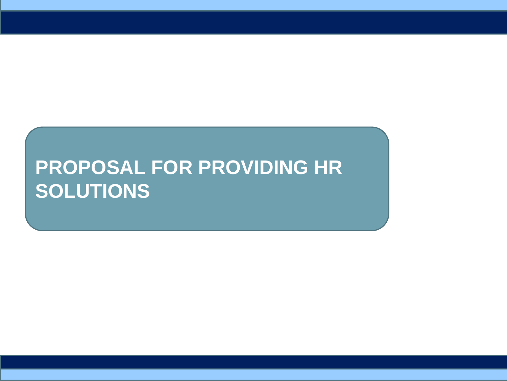## **PROPOSAL FOR PROVIDING HR SOLUTIONS**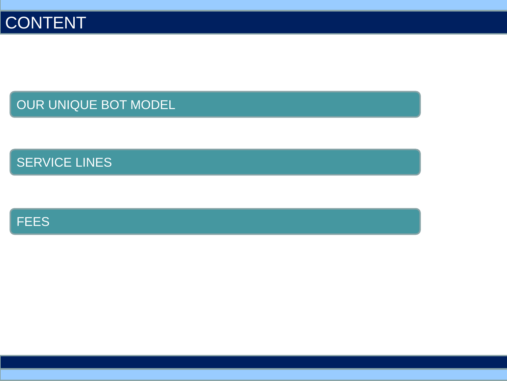OUR UNIQUE BOT MODEL

SERVICE LINES

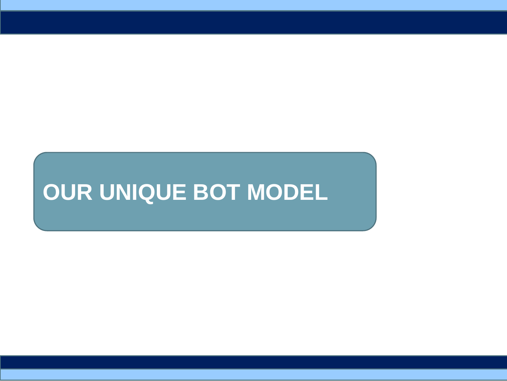# **OUR UNIQUE BOT MODEL**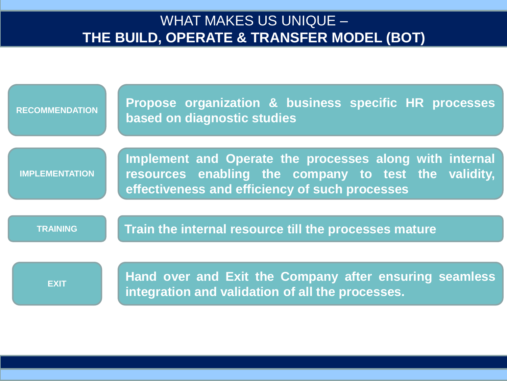#### WHAT MAKES US UNIQUE – **THE BUILD, OPERATE & TRANSFER MODEL (BOT)**

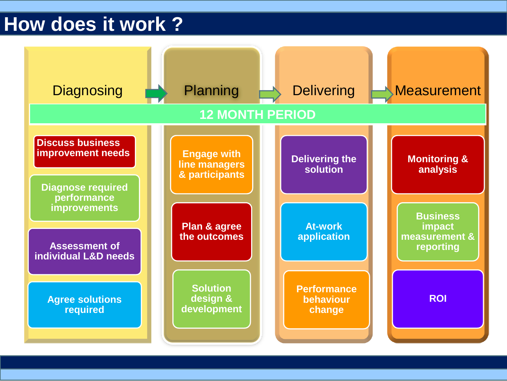#### **How does it work ?**

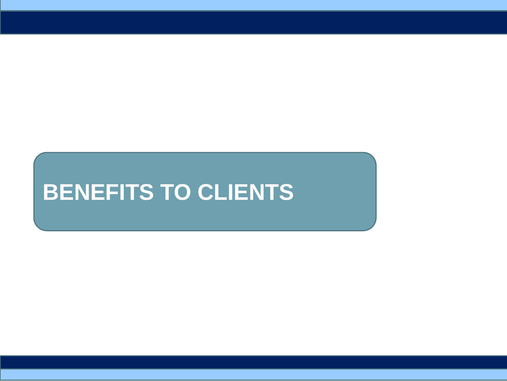# **BENEFITS TO CLIENTS**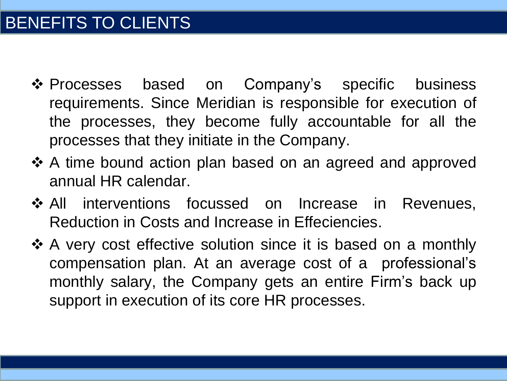- ❖ Processes based on Company's specific business requirements. Since Meridian is responsible for execution of the processes, they become fully accountable for all the processes that they initiate in the Company.
- ❖ A time bound action plan based on an agreed and approved annual HR calendar.
- ❖ All interventions focussed on Increase in Revenues, Reduction in Costs and Increase in Effeciencies.
- ❖ A very cost effective solution since it is based on a monthly compensation plan. At an average cost of a professional's monthly salary, the Company gets an entire Firm's back up support in execution of its core HR processes.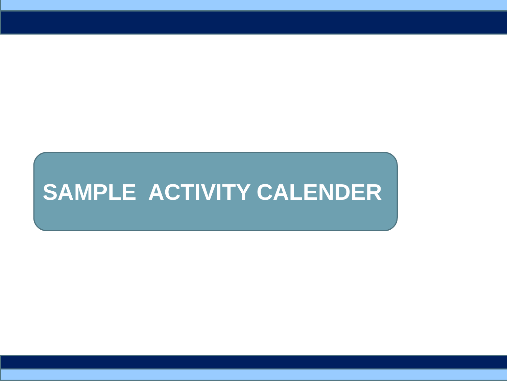# **SAMPLE ACTIVITY CALENDER**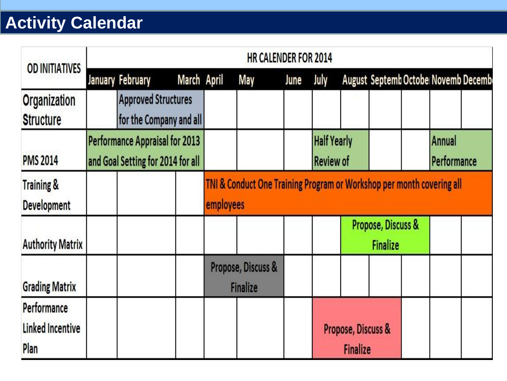### **Activity Calendar**

| <b>OD INITIATIVES</b>                          | <b>HR CALENDER FOR 2014</b>                                         |                                                       |  |                                                                                               |     |      |                                        |                                       |                                     |  |                       |  |
|------------------------------------------------|---------------------------------------------------------------------|-------------------------------------------------------|--|-----------------------------------------------------------------------------------------------|-----|------|----------------------------------------|---------------------------------------|-------------------------------------|--|-----------------------|--|
|                                                |                                                                     | January February                                      |  | March April                                                                                   | May | June | July                                   |                                       | August Septemb Octobe Novemb Decemb |  |                       |  |
| <b>Organization</b><br><b>Structure</b>        |                                                                     | <b>Approved Structures</b><br>for the Company and all |  |                                                                                               |     |      |                                        |                                       |                                     |  |                       |  |
| <b>PMS 2014</b>                                | Performance Appraisal for 2013<br>and Goal Setting for 2014 for all |                                                       |  |                                                                                               |     |      | <b>Half Yearly</b><br><b>Review of</b> |                                       |                                     |  | Annual<br>Performance |  |
| <b>Training &amp;</b><br>Development           |                                                                     |                                                       |  | <b>TNI &amp; Conduct One Training Program or Workshop per month covering all</b><br>employees |     |      |                                        |                                       |                                     |  |                       |  |
| <b>Authority Matrix</b>                        |                                                                     |                                                       |  |                                                                                               |     |      |                                        | Propose, Discuss &<br><b>Finalize</b> |                                     |  |                       |  |
| <b>Grading Matrix</b>                          |                                                                     |                                                       |  | Propose, Discuss &<br><b>Finalize</b>                                                         |     |      |                                        |                                       |                                     |  |                       |  |
| Performance<br><b>Linked Incentive</b><br>Plan |                                                                     |                                                       |  |                                                                                               |     |      | Propose, Discuss &<br><b>Finalize</b>  |                                       |                                     |  |                       |  |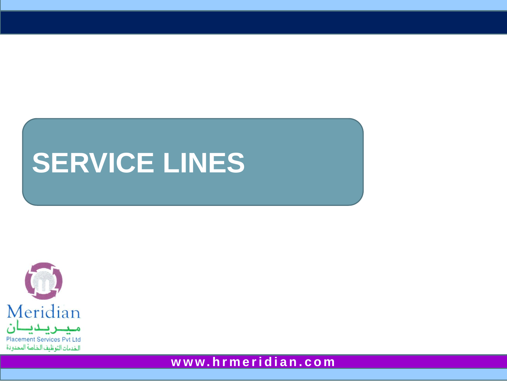# **SERVICE LINES**



**w w w. h r m e r i d i a n . c o m**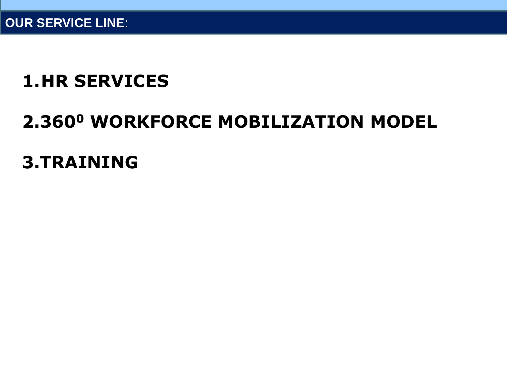#### **1.HR SERVICES**

## **2.360<sup>0</sup> WORKFORCE MOBILIZATION MODEL**

#### **3.TRAINING**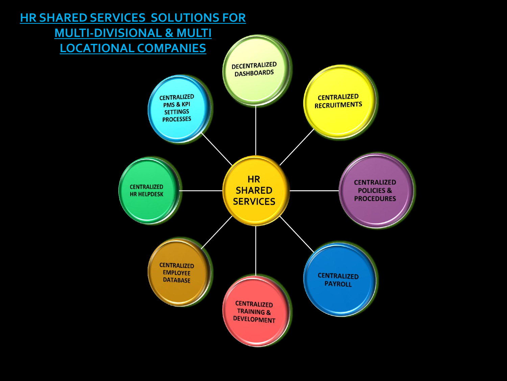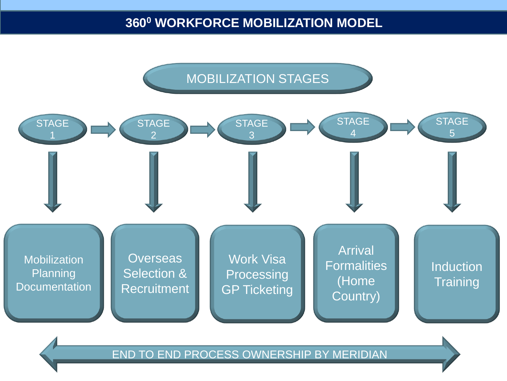

END TO END PROCESS OWNERSHIP BY MERIDIAN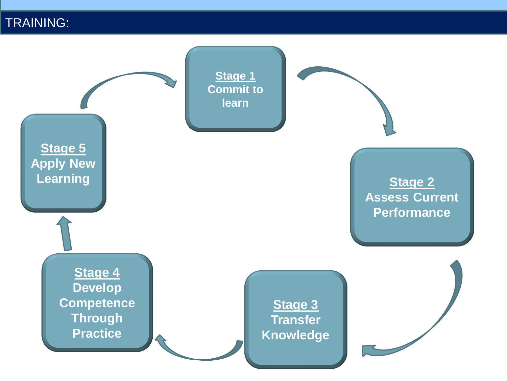TRAINING:

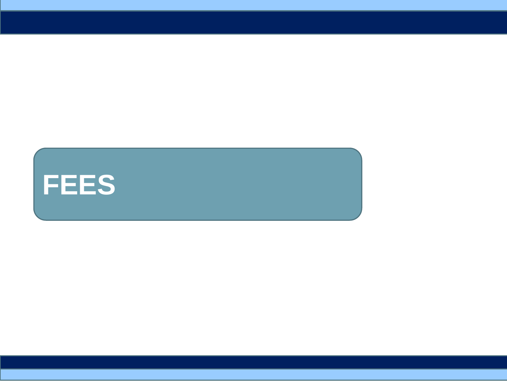